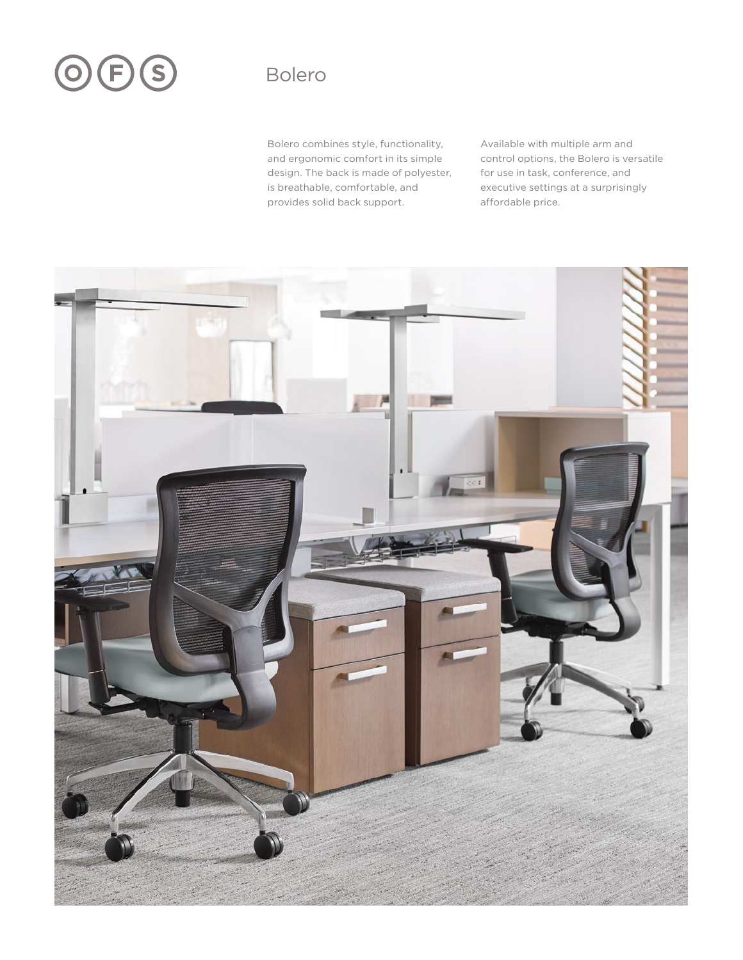# OFS

## Bolero

Bolero combines style, functionality, and ergonomic comfort in its simple design. The back is made of polyester, is breathable, comfortable, and provides solid back support.

Available with multiple arm and control options, the Bolero is versatile for use in task, conference, and executive settings at a surprisingly affordable price.